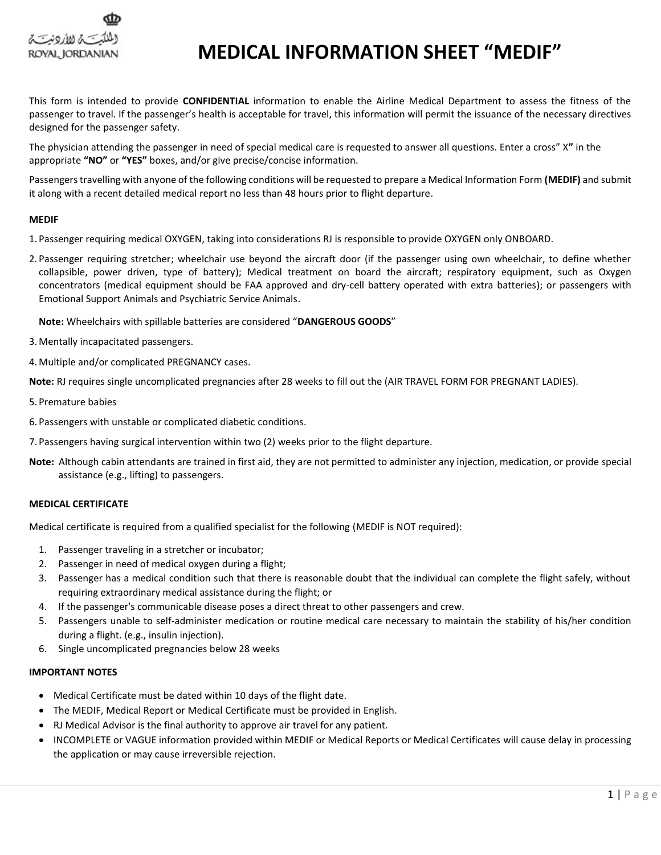

# **MEDICAL INFORMATION SHEET "MEDIF"**

This form is intended to provide **CONFIDENTIAL** information to enable the Airline Medical Department to assess the fitness of the passenger to travel. If the passenger's health is acceptable for travel, this information will permit the issuance of the necessary directives designed for the passenger safety.

The physician attending the passenger in need of special medical care is requested to answer all questions. Enter a cross" X**"** in the appropriate **"NO"** or **"YES"** boxes, and/or give precise/concise information.

Passengers travelling with anyone of the following conditions will be requested to prepare a Medical Information Form **(MEDIF)** and submit it along with a recent detailed medical report no less than 48 hours prior to flight departure.

### **MEDIF**

- 1. Passenger requiring medical OXYGEN, taking into considerations RJ is responsible to provide OXYGEN only ONBOARD.
- 2. Passenger requiring stretcher; wheelchair use beyond the aircraft door (if the passenger using own wheelchair, to define whether collapsible, power driven, type of battery); Medical treatment on board the aircraft; respiratory equipment, such as Oxygen concentrators (medical equipment should be FAA approved and dry-cell battery operated with extra batteries); or passengers with Emotional Support Animals and Psychiatric Service Animals.

**Note:** Wheelchairs with spillable batteries are considered "**DANGEROUS GOODS**"

- 3. Mentally incapacitated passengers.
- 4. Multiple and/or complicated PREGNANCY cases.

**Note:** RJ requires single uncomplicated pregnancies after 28 weeks to fill out the (AIR TRAVEL FORM FOR PREGNANT LADIES).

- 5. Premature babies
- 6. Passengers with unstable or complicated diabetic conditions.
- 7. Passengers having surgical intervention within two (2) weeks prior to the flight departure.
- **Note:** Although cabin attendants are trained in first aid, they are not permitted to administer any injection, medication, or provide special assistance (e.g., lifting) to passengers.

#### **MEDICAL CERTIFICATE**

Medical certificate is required from a qualified specialist for the following (MEDIF is NOT required):

- 1. Passenger traveling in a stretcher or incubator;
- 2. Passenger in need of medical oxygen during a flight;
- 3. Passenger has a medical condition such that there is reasonable doubt that the individual can complete the flight safely, without requiring extraordinary medical assistance during the flight; or
- 4. If the passenger's communicable disease poses a direct threat to other passengers and crew.
- 5. Passengers unable to self-administer medication or routine medical care necessary to maintain the stability of his/her condition during a flight. (e.g., insulin injection).
- 6. Single uncomplicated pregnancies below 28 weeks

### **IMPORTANT NOTES**

- Medical Certificate must be dated within 10 days of the flight date.
- The MEDIF, Medical Report or Medical Certificate must be provided in English.
- RJ Medical Advisor is the final authority to approve air travel for any patient.
- INCOMPLETE or VAGUE information provided within MEDIF or Medical Reports or Medical Certificates will cause delay in processing the application or may cause irreversible rejection.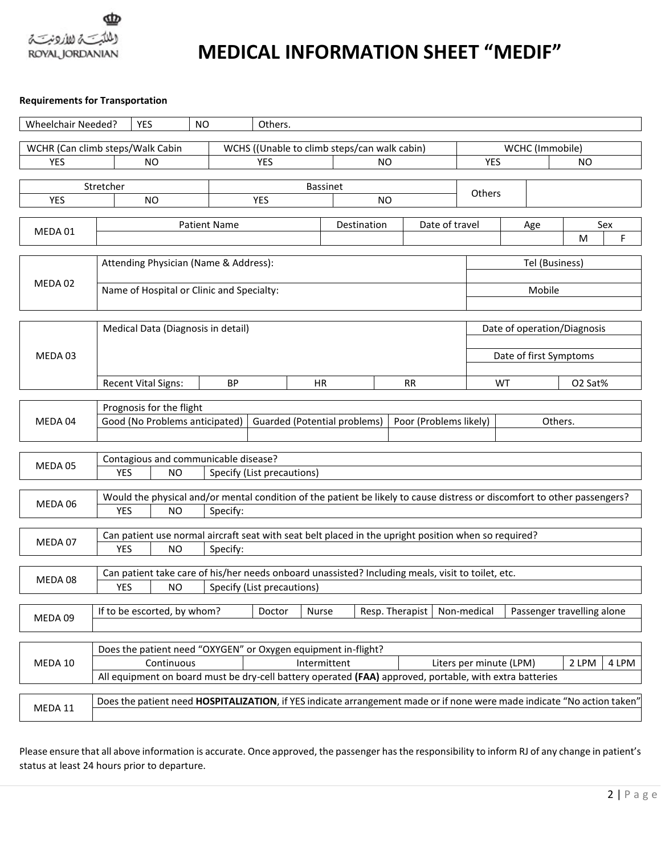

# **MEDICAL INFORMATION SHEET "MEDIF"**

## **Requirements for Transportation**

| <b>Wheelchair Needed?</b> | <b>YES</b><br>NO                                                                                                         | Others.                                   |                                                                                                                         |                 |                            |                             |         |                        |         |          |  |
|---------------------------|--------------------------------------------------------------------------------------------------------------------------|-------------------------------------------|-------------------------------------------------------------------------------------------------------------------------|-----------------|----------------------------|-----------------------------|---------|------------------------|---------|----------|--|
|                           | WCHR (Can climb steps/Walk Cabin                                                                                         |                                           | WCHS ((Unable to climb steps/can walk cabin)                                                                            |                 |                            |                             |         | WCHC (Immobile)        |         |          |  |
| <b>YES</b>                | <b>YES</b>                                                                                                               | NO.                                       |                                                                                                                         |                 |                            | <b>YES</b><br><b>NO</b>     |         |                        |         |          |  |
|                           |                                                                                                                          |                                           |                                                                                                                         |                 |                            |                             |         |                        |         |          |  |
|                           | Stretcher                                                                                                                |                                           |                                                                                                                         | <b>Bassinet</b> |                            |                             | Others  |                        |         |          |  |
| <b>YES</b>                | <b>NO</b>                                                                                                                | <b>YES</b>                                | <b>NO</b>                                                                                                               |                 |                            |                             |         |                        |         |          |  |
|                           | <b>Patient Name</b>                                                                                                      |                                           |                                                                                                                         |                 |                            |                             |         |                        |         |          |  |
| MEDA 01                   |                                                                                                                          |                                           | Destination                                                                                                             |                 |                            | Date of travel              |         | Age                    | м       | Sex<br>F |  |
|                           |                                                                                                                          |                                           |                                                                                                                         |                 |                            |                             |         |                        |         |          |  |
|                           | Attending Physician (Name & Address):<br>Tel (Business)                                                                  |                                           |                                                                                                                         |                 |                            |                             |         |                        |         |          |  |
|                           |                                                                                                                          |                                           |                                                                                                                         |                 |                            |                             |         |                        |         |          |  |
| MEDA 02                   |                                                                                                                          | Name of Hospital or Clinic and Specialty: |                                                                                                                         |                 |                            |                             |         | Mobile                 |         |          |  |
|                           |                                                                                                                          |                                           |                                                                                                                         |                 |                            |                             |         |                        |         |          |  |
|                           |                                                                                                                          |                                           |                                                                                                                         |                 |                            |                             |         |                        |         |          |  |
|                           | Medical Data (Diagnosis in detail)                                                                                       |                                           |                                                                                                                         |                 |                            | Date of operation/Diagnosis |         |                        |         |          |  |
| MEDA 03                   |                                                                                                                          |                                           |                                                                                                                         |                 |                            |                             |         | Date of first Symptoms |         |          |  |
|                           |                                                                                                                          |                                           |                                                                                                                         |                 |                            |                             |         |                        |         |          |  |
|                           | <b>Recent Vital Signs:</b>                                                                                               | <b>BP</b>                                 | HR                                                                                                                      |                 |                            | <b>RR</b>                   |         | <b>WT</b>              | O2 Sat% |          |  |
|                           |                                                                                                                          |                                           |                                                                                                                         |                 |                            |                             |         |                        |         |          |  |
|                           | Prognosis for the flight                                                                                                 |                                           |                                                                                                                         |                 |                            |                             |         |                        |         |          |  |
| MEDA 04                   | Good (No Problems anticipated)<br><b>Guarded (Potential problems)</b><br>Poor (Problems likely)                          |                                           |                                                                                                                         |                 |                            |                             | Others. |                        |         |          |  |
|                           |                                                                                                                          |                                           |                                                                                                                         |                 |                            |                             |         |                        |         |          |  |
|                           |                                                                                                                          |                                           |                                                                                                                         |                 |                            |                             |         |                        |         |          |  |
| MEDA 05                   | Contagious and communicable disease?                                                                                     |                                           |                                                                                                                         |                 |                            |                             |         |                        |         |          |  |
|                           | <b>YES</b><br><b>NO</b><br>Specify (List precautions)                                                                    |                                           |                                                                                                                         |                 |                            |                             |         |                        |         |          |  |
|                           | Would the physical and/or mental condition of the patient be likely to cause distress or discomfort to other passengers? |                                           |                                                                                                                         |                 |                            |                             |         |                        |         |          |  |
| MEDA 06                   | <b>YES</b><br><b>NO</b><br>Specify:                                                                                      |                                           |                                                                                                                         |                 |                            |                             |         |                        |         |          |  |
|                           |                                                                                                                          |                                           |                                                                                                                         |                 |                            |                             |         |                        |         |          |  |
| MEDA 07                   | Can patient use normal aircraft seat with seat belt placed in the upright position when so required?                     |                                           |                                                                                                                         |                 |                            |                             |         |                        |         |          |  |
|                           | <b>YES</b><br><b>NO</b><br>Specify:                                                                                      |                                           |                                                                                                                         |                 |                            |                             |         |                        |         |          |  |
|                           | Can patient take care of his/her needs onboard unassisted? Including meals, visit to toilet, etc.                        |                                           |                                                                                                                         |                 |                            |                             |         |                        |         |          |  |
| MEDA 08                   | <b>YES</b><br><b>NO</b><br>Specify (List precautions)                                                                    |                                           |                                                                                                                         |                 |                            |                             |         |                        |         |          |  |
|                           |                                                                                                                          |                                           |                                                                                                                         |                 |                            |                             |         |                        |         |          |  |
| MEDA 09                   | If to be escorted, by whom?                                                                                              | Doctor                                    | Resp. Therapist   Non-medical<br>Nurse                                                                                  |                 | Passenger travelling alone |                             |         |                        |         |          |  |
|                           |                                                                                                                          |                                           |                                                                                                                         |                 |                            |                             |         |                        |         |          |  |
|                           |                                                                                                                          |                                           |                                                                                                                         |                 |                            |                             |         |                        |         |          |  |
| MEDA 10                   | Does the patient need "OXYGEN" or Oxygen equipment in-flight?                                                            |                                           |                                                                                                                         |                 |                            |                             |         |                        |         |          |  |
|                           | Continuous                                                                                                               |                                           | Intermittent<br>All equipment on board must be dry-cell battery operated (FAA) approved, portable, with extra batteries |                 |                            | Liters per minute (LPM)     |         |                        | 2 LPM   | 4 LPM    |  |
|                           |                                                                                                                          |                                           |                                                                                                                         |                 |                            |                             |         |                        |         |          |  |
|                           | Does the patient need HOSPITALIZATION, if YES indicate arrangement made or if none were made indicate "No action taken"  |                                           |                                                                                                                         |                 |                            |                             |         |                        |         |          |  |
| MEDA 11                   |                                                                                                                          |                                           |                                                                                                                         |                 |                            |                             |         |                        |         |          |  |

Please ensure that all above information is accurate. Once approved, the passenger has the responsibility to inform RJ of any change in patient's status at least 24 hours prior to departure.